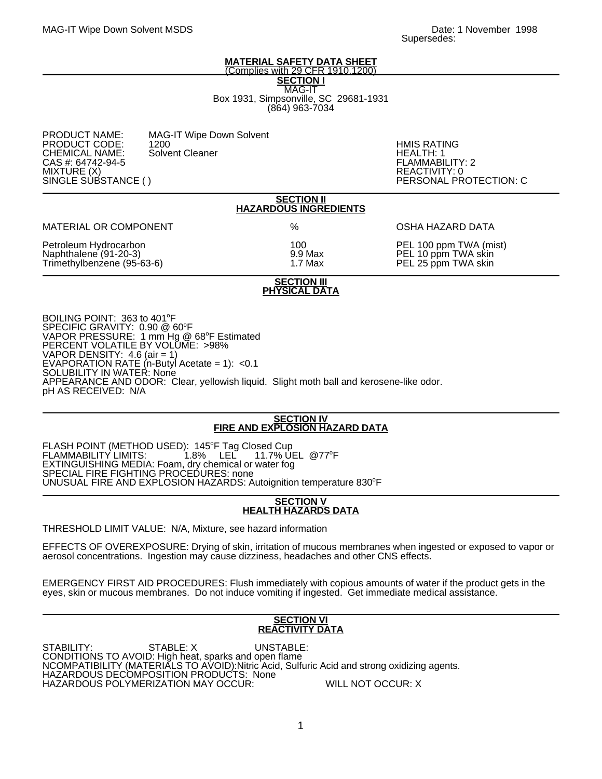#### **MATERIAL SAFETY DATA SHEET** (Complies with 29 CFR 1910.1200)

**SECTION I** MAG-IT Box 1931, Simpsonville, SC 29681-1931 (864) 963-7034

| <b>PRODUCT NAME:</b><br><b>MAG-IT Wipe Down Solvent</b><br>PRODUCT CODE:<br>1200<br><b>CHEMICAL NAME:</b><br>Solvent Cleaner<br>CAS #: 64742-94-5<br>MIXTURE (X)<br>SINGLE SUBSTANCE () | <b>HMIS RATI</b><br>HEALTH: 1<br>FLAMMABI<br>REACTIVIT<br>PERSONAL |
|-----------------------------------------------------------------------------------------------------------------------------------------------------------------------------------------|--------------------------------------------------------------------|
|-----------------------------------------------------------------------------------------------------------------------------------------------------------------------------------------|--------------------------------------------------------------------|

HMIS RATING<br>HEALTH: 1 FLAMMABILITY: 2 REACTIVITY: 0 PERSONAL PROTECTION: C

# **SECTION II HAZARDOUS INGREDIENTS**

MATERIAL OR COMPONENT  $\%$  % OSHA HAZARD DATA

Trimethylbenzene (95-63-6).

Petroleum Hydrocarbon 100 PEL 100 ppm TWA (mist) 9.9 Max PEL 10 ppm TWA skin<br>1.7 Max PEL 25 ppm TWA skin

## **SECTION III PHYSICAL DATA**

BOILING POINT: 363 to 401°F SPECIFIC GRAVITY: 0.90 @ 60°F VAPOR PRESSURE: 1 mm Hg @ 68°F Estimated PERCENT VOLATILE BY VOLUME: >98% VAPOR DENSITY: 4.6 (air = 1) EVAPORATION RATE (n-Butyl Acetate = 1): <0.1 SOLUBILITY IN WATER: None APPEARANCE AND ODOR: Clear, yellowish liquid. Slight moth ball and kerosene-like odor. pH AS RECEIVED: N/A

## **SECTION IV FIRE AND EXPLOSION HAZARD DATA**

FLASH POINT (METHOD USED): 145°F Tag Closed Cup FLAMMABILITY LIMITS: 1.8% LEL 11.7% UEL @77 F 11.7% UEL @77°F EXTINGUISHING MEDIA: Foam, dry chemical or water fog SPECIAL FIRE FIGHTING PROCEDURES: none UNUSUAL FIRE AND EXPLOSION HAZARDS: Autoignition temperature 830°F

## **SECTION V HEALTH HAZARDS DATA**

THRESHOLD LIMIT VALUE: N/A, Mixture, see hazard information

EFFECTS OF OVEREXPOSURE: Drying of skin, irritation of mucous membranes when ingested or exposed to vapor or aerosol concentrations. Ingestion may cause dizziness, headaches and other CNS effects.

EMERGENCY FIRST AID PROCEDURES: Flush immediately with copious amounts of water if the product gets in the eyes, skin or mucous membranes. Do not induce vomiting if ingested. Get immediate medical assistance.

## **SECTION VI REACTIVITY DATA**

STABILITY: STABLE: X UNSTABLE: CONDITIONS TO AVOID: High heat, sparks and open flame NCOMPATIBILITY (MATERIALS TO AVOID):Nitric Acid, Sulfuric Acid and strong oxidizing agents. HAZARDOUS DECOMPOSITION PRODUCTS: None HAZARDOUS POLYMERIZATION MAY OCCUR: WILL NOT OCCUR: X